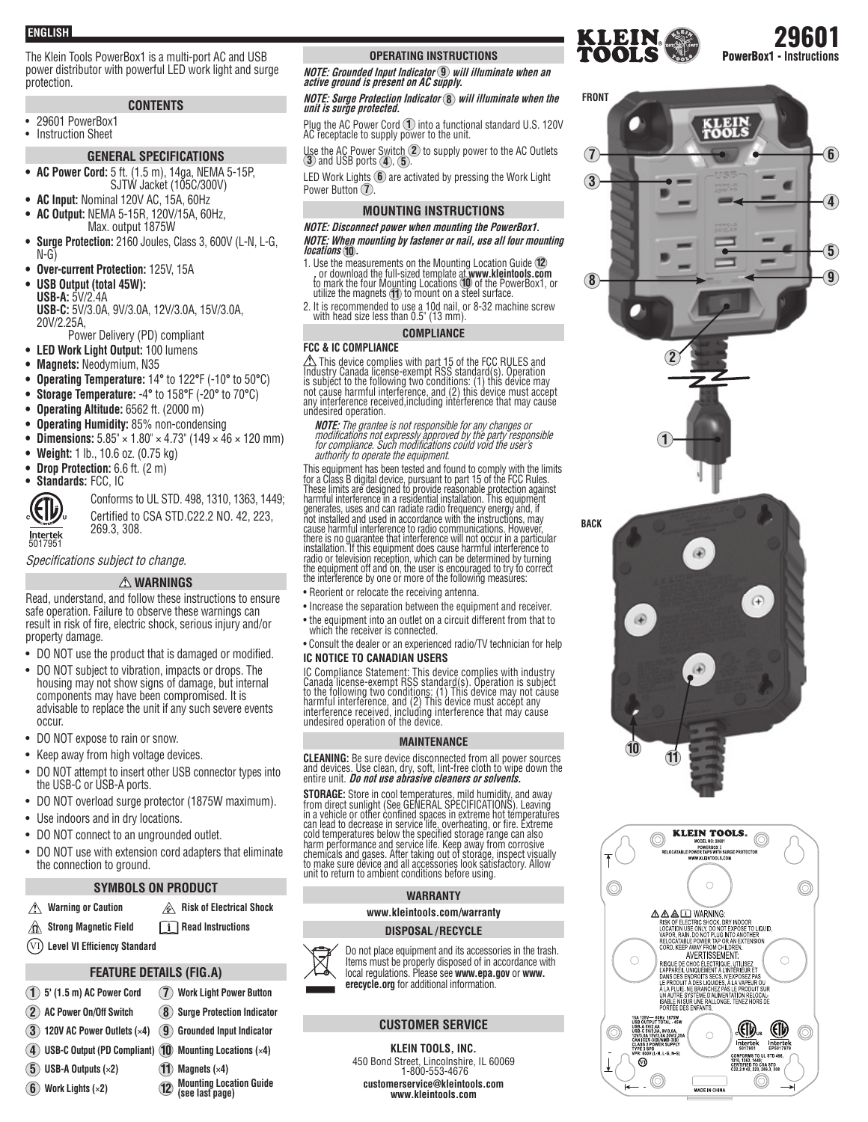**ENGLISH**

The Klein Tools PowerBox1 is a multi-port AC and USB power distributor with powerful LED work light and surge protection.

## **CONTENTS**

• 29601 PowerBox1 **Instruction Sheet** 

# **GENERAL SPECIFICATIONS**

- **AC Power Cord:** 5 ft. (1.5 m), 14ga, NEMA 5-15P, SJTW Jacket (105C/300V)
- **AC Input:** Nominal 120V AC, 15A, 60Hz **• AC Output:** NEMA 5-15R, 120V/15A, 60Hz,
- Max. output 1875W
- **Surge Protection:** 2160 Joules, Class 3, 600V (L-N, L-G, N-G)
- **Over-current Protection:** 125V, 15A
- **USB Output (total 45W): USB-A:** 5V/2.4A **USB-C:** 5V/3.0A, 9V/3.0A, 12V/3.0A, 15V/3.0A, 20V/2.25A,
- Power Delivery (PD) compliant
- **LED Work Light Output:** 100 lumens
- **Magnets:** Neodymium, N35
- **Operating Temperature:** 14**°** to 122**°**F (-10**°** to 50**°**C)
- **Storage Temperature:** -4**°** to 158**°**F (-20**°** to 70**°**C)
- **Operating Altitude:** 6562 ft. (2000 m)
- **Operating Humidity:** 85% non-condensing
- **Dimensions:**  $5.85'' \times 1.80'' \times 4.73''$  (149  $\times$  46  $\times$  120 mm)
- **Weight:** 1 lb., 10.6 oz. (0.75 kg)
- **Drop Protection:** 6.6 ft. (2 m)
- **Standards:** FCC, IC

Intertek<br>5017951

Conforms to UL STD. 498, 1310, 1363, 1449; Certified to CSA STD.C22.2 NO. 42, 223, 269.3, 308.

Specifications subject to change.

## **WARNINGS**

Read, understand, and follow these instructions to ensure safe operation. Failure to observe these warnings can result in risk of fire, electric shock, serious injury and/or property damage.

- DO NOT use the product that is damaged or modified.
- DO NOT subject to vibration, impacts or drops. The housing may not show signs of damage, but internal components may have been compromised. It is advisable to replace the unit if any such severe events occur.
- DO NOT expose to rain or snow.
- Keep away from high voltage devices.
- DO NOT attempt to insert other USB connector types into the USB-C or USB-A ports.
- DO NOT overload surge protector (1875W maximum).
- Use indoors and in dry locations.
- DO NOT connect to an ungrounded outlet.
- DO NOT use with extension cord adapters that eliminate the connection to ground.

## **SYMBOLS ON PRODUCT**

- **Risk of Electrical Shock Risk of Electrical Shock**
- ⚠ **Strong Magnetic Field Read Instructions**
- (VI) Level VI Efficiency Standard

## **FEATURE DETAILS (FIG.A)**

**(see last page)**

- **1 5' (1.5 m) AC Power Cord 7 Work Light Power Button**
- **2 AC Power On/Off Switch 8 Surge Protection Indicator**
- **3 120V AC Power Outlets (**×**4) 9 Grounded Input Indicator**
- **4 USB-C Output (PD Compliant) 10 Mounting Locations (**×**4)**
	-
- **5 USB-A Outputs (**×**2) 11 Magnets (**×**4) 6 Work Lights (** $\times$ **2) 12**

**OPERATING INSTRUCTIONS**

**NOTE: Grounded Input Indicator 9 will illuminate when an active ground is present on AC supply.**

# **NOTE: Surge Protection Indicator 8 will illuminate when the unit is surge protected.**

Plug the AC Power Cord **1** into a functional standard U.S. 120V AC receptacle to supply power to the unit.

Use the AC Power Switch **2** to supply power to the AC Outlets **3** and USB ports **<sup>4</sup>** , **<sup>5</sup>** .

LED Work Lights **6** are activated by pressing the Work Light Power Button **(7)**.

#### **MOUNTING INSTRUCTIONS**

## **NOTE: Disconnect power when mounting the PowerBox1. NOTE: When mounting by fastener or nail, use all four mounting locations <sup>10</sup> .**

- 1. Use the measurements on the Mounting Location Guide  $(2)$ <br>, or download the full-sized template at www.kleintools.com<br>fo mark the four Mounting Locations  $(0)$  of the PowerBox1, or<br>utilize the magnets  $(1)$  to mount on
- 2. It is recommended to use a 10d nail, or 8-32 machine screw with head size less than 0.5" (13 mm).

### **COMPLIANCE**

#### **FCC & IC COMPLIANCE**

Z\\This device complies with part 15 of the FCC RULES and<br>Industry Canada license-exempt RSS standard(s). Operation<br>is subject to the following two conditions: (1) this device may<br>not cause harmful interference, and (2) th any interference received,including interference that may cause undesired operation.

**NOTE:** The grantee is not responsible for any changes or modifications not expressly approved by the party responsible for compliance. Such modifications could void the user's authority to operate the equipment.

This equipment has been tested and found to comply with the limits<br>for a Class B digital device, pursuant to part 15 of the FCC Rules.<br>These limits are designed to provide reasonable protection against<br>harmful interference generates, uses and can radiate radio frequency energy and, if not installed and used in accordance with the instructions, may cause harmful interference to radio communications. However, there is no guarantee that interference will not occur in a particular<br>installation. If this equipment does cause harmful interference to<br>radio or television reception, which can be determined by turning the equipment off and on, the user is encouraged to try to correct the interference by one or more of the following measures:

• Reorient or relocate the receiving antenna.

- Increase the separation between the equipment and receiver.
- the equipment into an outlet on a circuit different from that to which the receiver is connected.
- Consult the dealer or an experienced radio/TV technician for help **IC NOTICE TO CANADIAN USERS**

IC Compliance Statement: This device complies with industry Canada license-exempt RSS standard(s). Operation is subject to the following two conditions: (1) This device may not cause harmful interference, and (2) This device must accept any interference received, including interference that may cause undesired operation of the device.

#### **MAINTENANCE**

**CLEANING:** Be sure device disconnected from all power sources<br>and devices. Use clean, dry, soft, lint-free cloth to wipe down the<br>entire unit. *Do not use abrasive cleaners or solvents.* 

**STORAGE:** Store in cool temperatures, mild humidity, and away<br>from direct sunlight (See GENERAL SPECIFICATIONS). Leaving<br>in a vehicle or other confined spaces in extreme hot temperatures<br>can lead to decrease in service li harm performance and service life. Keep away from corrosive chemicals and gases. After taking out of storage, inspect visually to make sure device and all accessories look satisfactory. Allow unit to return to ambient conditions before using.

#### **WARRANTY**

**www.kleintools.com/warranty**

#### **DISPOSAL / RECYCLE**



Items must be properly disposed of in accordance with local regulations. Please see **www.epa.gov** or **www. erecycle.org** for additional information.

#### **CUSTOMER SERVICE**

#### **KLEIN TOOLS, INC.**

450 Bond Street, Lincolnshire, IL 60069 1-800-553-4676 **customerservice@kleintools.com www.kleintools.com**



COND. RELEVANT FROM CHILINERIZ<br>
RISCHEL MUSIC CONDUCTION CHILINGER<br>
RISPAREL UNIQUENTAT A LINERIZING ET<br>
RAPPAREL UNIQUENTAT A LINERIEUR ET<br>
DANS DES ENDROITS ESS AN KAPOSE PAS<br>
RE PRODUIT A DES LIQUIDES A LA VAPEUR QU<br>
MA

 $\bigcirc$ 

.<br>Made in China

(¶).

Intertek

1310, 1363, 1449;<br>Certified to CSA STD<br>C22.2 # 42. 223. 269.3. 308 O

 $\bigcirc$ 

(II)

Intertel

**UL STD 498** 

 $\bigcirc$ 

10Hz 1875W<br>TOTAL 45V UT TOTAL - 45W<br>2.4A<br>3.0A, 9V/3.0A,<br>5V/3.0A 20V/2.2E<br>3(B)/NMB-3(B)<br>QWER SUPPLY

 $M + G$  MeV

 $^{\circledR}$ 

KLEER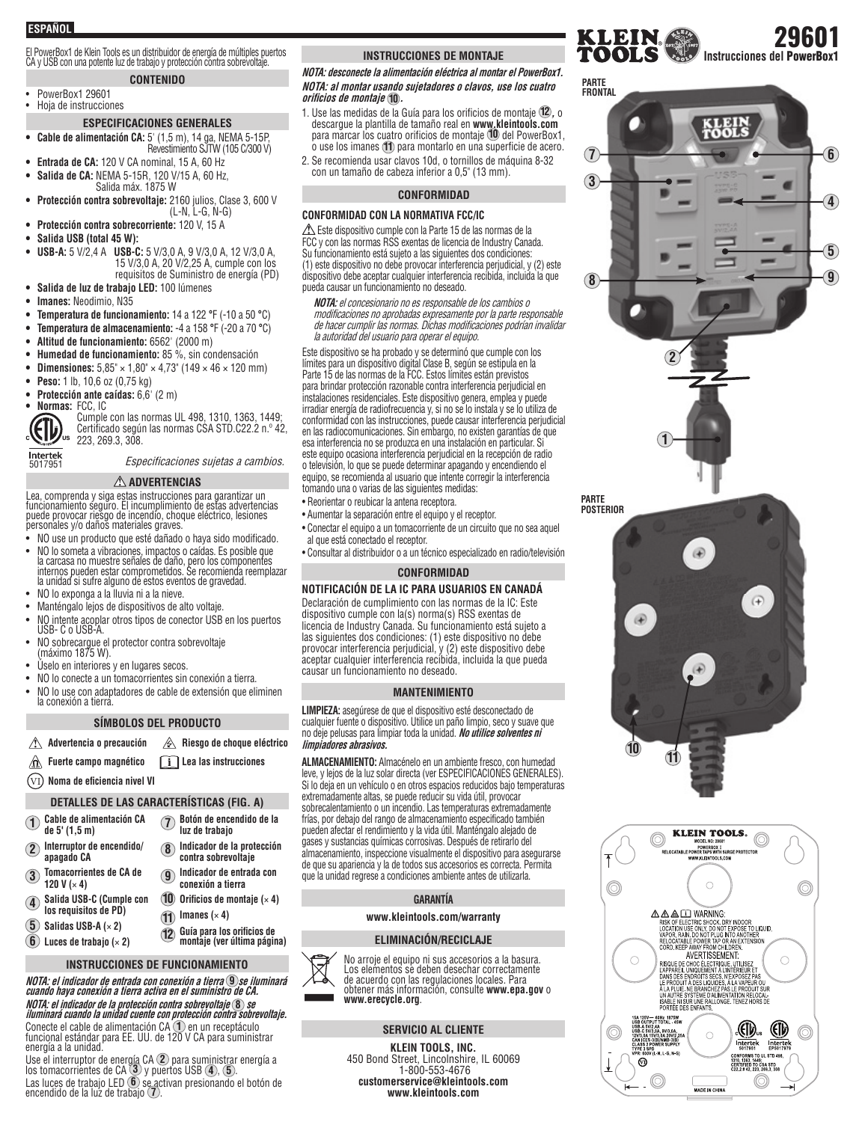## **ESPAÑOL**

El PowerBox1 de Klein Tools es un distribuidor de energía de múltiples puertos<br>CA y USB con una potente luz de trabajo y protección contra sobrevoltaje.

## **CONTENIDO**

• PowerBox1 29601 • Hoja de instrucciones

## **ESPECIFICACIONES GENERALES**

- **Cable de alimentación CA:** 5' (1,5 m), 14 ga, NEMA 5-15P, Revestimiento SJTW (105 C/300 V)
- **Entrada de CA:** 120 V CA nominal, 15 A, 60 Hz
- **Salida de CA:** NEMA 5-15R, 120 V/15 A, 60 Hz, Salida máx. 1875 W
- **Protección contra sobrevoltaje:** 2160 julios, Clase 3, 600 V (L-N, L-G, N-G)
- **Protección contra sobrecorriente:** 120 V, 15 A
- **Salida USB (total 45 W):**
- **USB-A:** 5 V/2,4 A **USB-C:** 5 V/3,0 A, 9 V/3,0 A, 12 V/3,0 A, 15 V/3,0 A, 20 V/2,25 A, cumple con los requisitos de Suministro de energía (PD)
- **Salida de luz de trabajo LED:** 100 lúmenes
- **Imanes:** Neodimio, N35
- **Temperatura de funcionamiento:** 14 a 122 **°**F (-10 a 50 **°**C)
- **Temperatura de almacenamiento:** -4 a 158 **°**F (-20 a 70 **°**C)
- **Altitud de funcionamiento:** 6562' (2000 m)
- **Humedad de funcionamiento:** 85 %, sin condensación
- **Dimensiones:** 5,85" × 1,80" × 4,73" (149 × 46 × 120 mm)
- **Peso:** 1 lb, 10,6 oz (0,75 kg)
- **Protección ante caídas:** 6,6' (2 m)
- **Normas:** FCC, IC



Intertek<br>5017951

Cumple con las normas UL 498, 1310, 1363, 1449; Certificado según las normas CSA STD.C22.2 n.º 42, 223, 269.3, 308.

Especificaciones sujetas a cambios.

#### **ADVERTENCIAS**

Lea, comprenda y siga estas instrucciones para garantizar un funcionamiento seguro. El incumplimiento de estas advertencias puede provocar riesgo de incendio, choque eléctrico, lesiones personales y/o daños materiales graves.

- NO use un producto que esté dañado o haya sido modificado.
- NO lo someta a vibraciones, impactos o caídas. Es posible que la carcasa no muestre señales de daño, pero los componentes internos pueden estar comprometidos. Se recomienda reemplazar la unidad si sufre alguno de estos eventos de gravedad.
- NO lo exponga a la lluvia ni a la nieve.
- Manténgalo lejos de dispositivos de alto voltaje.
- NO intente acoplar otros tipos de conector USB en los puertos USB- C o USB-A.
- NO sobrecargue el protector contra sobrevoltaje (máximo 1875 W).
- Úselo en interiores y en lugares secos.
- NO lo conecte a un tomacorrientes sin conexión a tierra.
- NO lo use con adaptadores de cable de extensión que eliminen la conexión a tierra.

#### **SÍMBOLOS DEL PRODUCTO**

- **Advertencia o precaución Riesgo de choque eléctrico**
- ⚠ **Fuerte campo magnético Lea las instrucciones**
- (VI) **Noma de eficiencia nivel VI**

#### **DETALLES DE LAS CARACTERÍSTICAS (FIG. A)**

| Cable de alimentación CA                                            | Botón de encendido de la                                  |
|---------------------------------------------------------------------|-----------------------------------------------------------|
| de 5' (1,5 m)                                                       | luz de trabajo                                            |
| Interruptor de encendido/                                           | Indicador de la protección                                |
| $\overline{2}$                                                      | $\bf{8}$                                                  |
| apagado CA                                                          | contra sobrevoltaje                                       |
| <b>Tomacorrientes de CA de</b>                                      | Indicador de entrada con                                  |
| 3                                                                   | <b>g</b>                                                  |
| 120 V $(x 4)$                                                       | conexión a tierra                                         |
| Salida USB-C (Cumple con<br>los requisitos de PD)<br>$\overline{4}$ | Orificios de montaje $(x, 4)$                             |
|                                                                     | Imanes $(x 4)$                                            |
| Salidas USB-A $(x 2)$                                               |                                                           |
| 6                                                                   | Guía para los orificios de<br>montaje (ver última página) |
| Luces de trabajo $(x 2)$                                            | (12)                                                      |

## **INSTRUCCIONES DE FUNCIONAMIENTO**

**NOTA: el indicador de entrada con conexión a tierra 9 se iluminará cuando haya conexión a tierra activa en el suministro de CA. NOTA: el indicador de la protección contra sobrevoltaje 8 se iluminará cuando la unidad cuente con protección contra sobrevoltaje.** Conecte el cable de alimentación CA **<sup>1</sup>** en un receptáculo funcional estándar para EE. UU. de 120 V CA para suministrar energía a la unidad.

Use el interruptor de energía CA **<sup>2</sup>** para suministrar energía a los tomacorrientes de CA **<sup>3</sup>** y puertos USB **<sup>4</sup>** , **<sup>5</sup>** . Las luces de trabajo LED (**6**) se activan presionando el botón de<br>encendido de la luz de trabajo (7).

#### **INSTRUCCIONES DE MONTAJE**

**NOTA: desconecte la alimentación eléctrica al montar el PowerBox1. NOTA: al montar usando sujetadores o clavos, use los cuatro orifi cios de montaje 10 .**

1. Use las medidas de la Guía para los orificios de montaje **12 ,** o descargue la plantilla de tamaño real en **www.kleintools.com** para marcar los cuatro orificios de montaje **10** del PowerBox1, o use los imanes **11** para montarlo en una superficie de acero.

2. Se recomienda usar clavos 10d, o tornillos de máquina 8-32 con un tamaño de cabeza inferior a 0,5" (13 mm).

#### **CONFORMIDAD**

#### **CONFORMIDAD CON LA NORMATIVA FCC/IC**

 $\triangle$  Este dispositivo cumple con la Parte 15 de las normas de la FCC y con las normas RSS exentas de licencia de Industry Canada. Su funcionamiento está sujeto a las siguientes dos condiciones: (1) este dispositivo no debe provocar interferencia perjudicial, y (2) este dispositivo debe aceptar cualquier interferencia recibida, incluida la que pueda causar un funcionamiento no deseado.

**NOTA:** el concesionario no es responsable de los cambios o modificaciones no aprobadas expresamente por la parte responsable de hacer cumplir las normas. Dichas modificaciones podrían invalidar la autoridad del usuario para operar el equipo.

Este dispositivo se ha probado y se determinó que cumple con los límites para un dispositivo digital Clase B, según se estipula en la Parte 15 de las normas de la FCC. Estos límites están previstos para brindar protección razonable contra interferencia perjudicial en instalaciones residenciales. Este dispositivo genera, emplea y puede irradiar energía de radiofrecuencia y, si no se lo instala y se lo utiliza de conformidad con las instrucciones, puede causar interferencia perjudicial en las radiocomunicaciones. Sin embargo, no existen garantías de que esa interferencia no se produzca en una instalación en particular. Si este equipo ocasiona interferencia perjudicial en la recepción de radio o televisión, lo que se puede determinar apagando y encendiendo el equipo, se recomienda al usuario que intente corregir la interferencia tomando una o varias de las siguientes medidas:

• Reorientar o reubicar la antena receptora.

- Aumentar la separación entre el equipo y el receptor.
- Conectar el equipo a un tomacorriente de un circuito que no sea aquel al que está conectado el receptor.
- Consultar al distribuidor o a un técnico especializado en radio/televisión

#### **CONFORMIDAD**

#### **NOTIFICACIÓN DE LA IC PARA USUARIOS EN CANADÁ**

Declaración de cumplimiento con las normas de la IC: Este dispositivo cumple con la(s) norma(s) RSS exentas de licencia de Industry Canada. Su funcionamiento está sujeto a las siguientes dos condiciones: (1) este dispositivo no debe provocar interferencia perjudicial, y (2) este dispositivo debe aceptar cualquier interferencia recibida, incluida la que pueda causar un funcionamiento no deseado.

#### **MANTENIMIENTO**

**LIMPIEZA:** asegúrese de que el dispositivo esté desconectado de cualquier fuente o dispositivo. Utilice un paño limpio, seco y suave que no deje pelusas para limpiar toda la unidad. **No utilice solventes ni limpiadores abrasivos.**

**ALMACENAMIENTO:** Almacénelo en un ambiente fresco, con humedad leve, y lejos de la luz solar directa (ver ESPECIFICACIONES GENERALES). Si lo deja en un vehículo o en otros espacios reducidos bajo temperaturas extremadamente altas, se puede reducir su vida útil, provocar sobrecalentamiento o un incendio. Las temperaturas extremadamente frías, por debajo del rango de almacenamiento especificado también pueden afectar el rendimiento y la vida útil. Manténgalo alejado de gases y sustancias químicas corrosivas. Después de retirarlo del almacenamiento, inspeccione visualmente el dispositivo para asegurarse de que su apariencia y la de todos sus accesorios es correcta. Permita que la unidad regrese a condiciones ambiente antes de utilizarla.

#### **GARANTÍA**

#### **www.kleintools.com/warranty**

#### **ELIMINACIÓN/RECICLAJE**



## **SERVICIO AL CLIENTE**

**KLEIN TOOLS, INC.**  450 Bond Street, Lincolnshire, IL 60069 1-800-553-4676 **customerservice@kleintools.com www.kleintools.com**







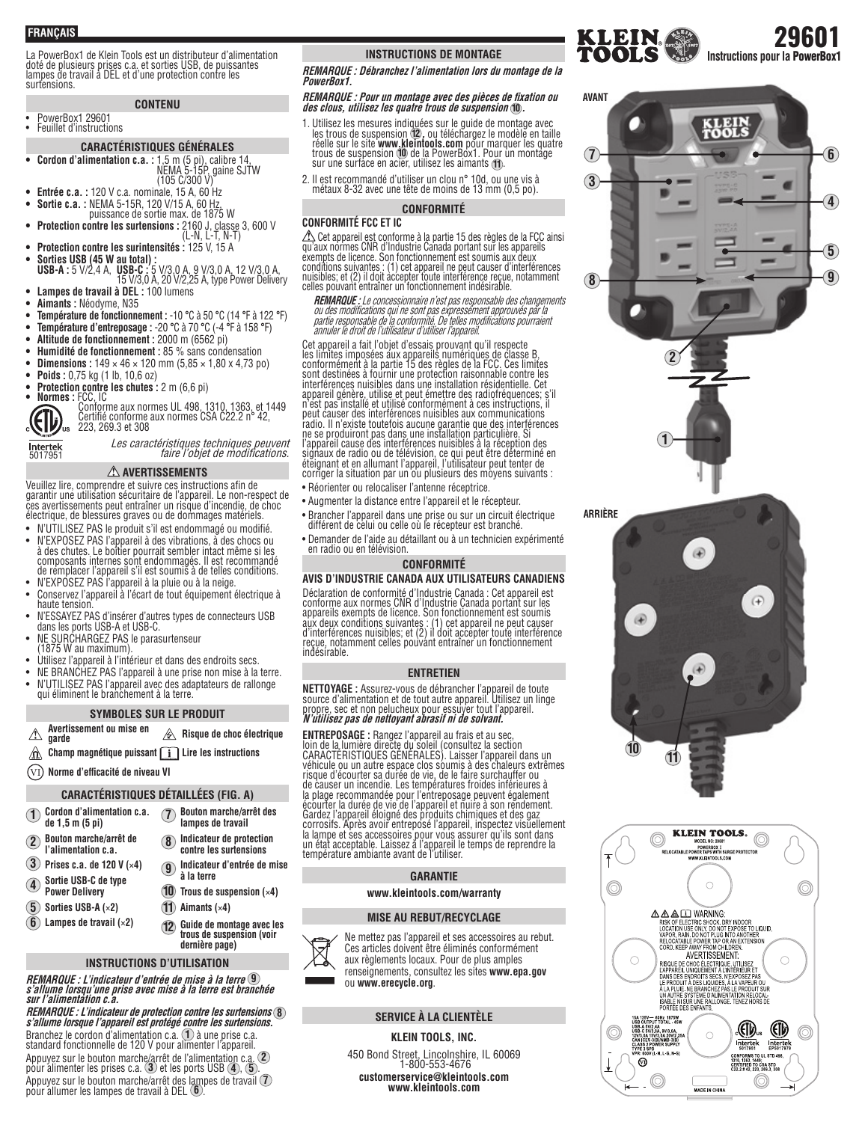**FRANÇAIS**

La PowerBox1 de Klein Tools est un distributeur d'alimentation doté de plusieurs prises c.a. et sorties USB, de puissantes lampes de travail à DEL et d'une protection contre les surtensions.

## **CONTENU**

• PowerBox1 29601 • Feuillet d'instructions

#### **CARACTÉRISTIQUES GÉNÉRALES**

- **Cordon d'alimentation c.a. :** 1,5 m (5 pi), calibre 14, NEMA 5-15P, gaine SJTW (105 C/300 V)
- **Entrée c.a. :** 120 V c.a. nominale, 15 A, 60 Hz
- **Sortie c.a. :** NEMA 5-15R, 120 V/15 A, 60 Hz, puissance de sortie max. de 1875 W
- **Protection contre les surtensions :** 2160 J, classe 3, 600 V (L-N, L-T, N-T)
- **Protection contre les surintensités :** 125 V, 15 A **• Sorties USB (45 W au total) : USB-A :** 5 V/2,4 A, **USB-C :** 5 V/3,0 A, 9 V/3,0 A, 12 V/3,0 A, 15 V/3,0 A, 20 V/2,25 A, type Power Delivery
- **Lampes de travail à DEL :** 100 lumens
- **Aimants :** Néodyme, N35
- **Température de fonctionnement :** -10 **°**C à 50 **°**C (14 **°**F à 122 **°**F)
- **Température d'entreposage :** -20 **°**C à 70 **°**C (-4 **°**F à 158 **°**F)
- **Altitude de fonctionnement :** 2000 m (6562 pi)
- **Humidité de fonctionnement :** 85 % sans condensation
- **Dimensions :**  $149 \times 46 \times 120$  mm  $(5,85 \times 1,80 \times 4,73$  po)
- 
- **Poids :** 0,75 kg (1 lb, 10,6 oz)<br> **Protection contre les chutes :** 2 m (6,6 pi)
- 
- **Protection contre les chutes :** 2 m (6,6 pi)<br>• **Normes :** FCC, IC<br>**Certifié conforme aux normes CSA C22.2 n° 42,**<br>**Certifié conforme aux normes CSA C22.2 n° 42,**  $\left(\begin{matrix} \bullet & \bullet & \bullet & \bullet \\ \bullet & \bullet & \bullet & \bullet & \bullet \\ \bullet & \bullet & \bullet & \bullet & \bullet \\ \bullet & \bullet & \bullet & \bullet & \bullet \end{matrix}\right)$

Intertek<br>5017951

## Les caractéristiques techniques peuvent faire l'objet de modifications.

 **AVERTISSEMENTS**

Veuillez lire, comprendre et suivre ces instructions afin de garantir une utilisation sécuritaire de l'appareil. Le non-respect de ces avertissements peut entraîner un risque d'incendie, de choc électrique, de blessures graves ou de dommages matériels.

- N'UTILISEZ PAS le produit s'il est endommagé ou modifié.
- N'EXPOSEZ PAS l'appareil à des vibrations, à des chocs ou<br>à des chutes. Le boîtier pourrait sembler intact même si les<br>composants internes sont endommagés. Il est recommandé<br>de remplacer l'appareil s'il est soumis à de t
- N'EXPOSEZ PAS l'appareil à la pluie ou à la neige.
- Conservez l'appareil à l'écart de tout équipement électrique à haute tension.
- N'ESSAYEZ PAS d'insérer d'autres types de connecteurs USB dans les ports USB-A et USB-C.
- NE SURCHARGEZ PAS le parasurtenseur (1875 W au maximum).
- 
- Utilisez l'appareil à l'intérieur et dans des endroits secs.
- NE BRANCHEZ PAS l'appareil à une prise non mise à la terre. • N'UTILISEZ PAS l'appareil avec des adaptateurs de rallonge qui éliminent le branchement à la terre.

#### **SYMBOLES SUR LE PRODUIT**

- **Avertissement ou mise en garde Risque de choc électrique** ⚠
- **Champ magnétique puissant Lire les instructions** ⚠
- $\widehat{\text{V1}}$  Norme d'efficacité de niveau VI

#### **CARACTÉRISTIQUES DÉTAILLÉES (FIG. A)**

| Cordon d'alimentation c.a.<br>de 1,5 m (5 pi) | Bouton marche/arrêt des<br>lampes de travail                                  |
|-----------------------------------------------|-------------------------------------------------------------------------------|
| Bouton marche/arrêt de<br>l'alimentation c.a. | Indicateur de protection<br>contre les surtensions<br>$\overline{\mathbf{8}}$ |
| Prises c.a. de 120 V $(x4)$                   | Indicateur d'entrée de mise<br>Q                                              |

- **3 Prises c.a. de 120 V (**×**4)**
- **4 Sortie USB-C de type Power Delivery**
- **5 Sorties USB-A (**×**2)**

**1 2**

- **6 Lampes de travail (**×**2)**
- - **INSTRUCTIONS D'UTILISATION**

**12**

**10 Trous de suspension (**×**4)**

**Guide de montage avec les trous de suspension (voir dernière page)**

**11 Aimants (**×**4)**

**à la terre** 

**REMARQUE : L'indicateur d'entrée de mise à la terre 9 <sup>s</sup>'allume lorsqu'une prise avec mise à la terre est branchée sur l'alimentation c.a.**

**REMARQUE : L'indicateur de protection contre les surtensions 8 <sup>s</sup>'allume lorsque l'appareil est protégé contre les surtensions.** Branchez le cordon d'alimentation c.a. **1** à une prise c.a.<br>standard fonctionnelle de 120 V pour alimenter l'appareil.<br>Appuvez sur le bouton marche/arrêt de l'alimentation c.a. **2**) Appuyez sur le bouton marche/arrêt de l'alimentation c.a. **2** pour alimenter les prises c.a. **3** et les ports USB **4** , **5** . Appuyez sur le bouton marche/arrêt des lampes de travail **7** pour allumer les lampes de travail à DEL **6** .

# **INSTRUCTIONS DE MONTAGE <b>INSTRUCTIONS**<br> **INSTRUCTIONS DE MONTAGE <b>INSTRUCTIONS**

**REMARQUE : Débranchez l'alimentation lors du montage de la PowerBox1.**

# **REMARQUE : Pour un montage avec des pièces de fi xation ou des clous, utilisez les quatre trous de suspension <sup>10</sup> .**

- 1. Utilisez les mesures indiquées sur le guide de montage avec<br>les trous de suspension (12, ou téléchargez le modèle en taille<br>réelle sur le site www.kleintools.com pour marquer les quatre<br>trous de suspension (10 de la Pow
- 2. Il est recommandé d'utiliser un clou n° 10d, ou une vis à métaux 8-32 avec une tête de moins de 13 mm (0,5 po).

#### **CONFORMITÉ**

#### **CONFORMITÉ FCC ET IC**

ZL\ Cet appareil est conforme à la partie 15 des règles de la FCC ainsi<br>qu'aux normes CNR d'Industrie Canada portant sur les appareils<br>exempts de licence. Son fonctionnement est soumis aux deux<br>conditions suivantes : (1) c celles pouvant entraîner un fonctionnement indésirable.

**REMARQUE :** Le concessionnaire n'est pas responsable des changements<br>ou des modifications qui ne sont pas expressément approuvés par la<br>partie responsable de la conformité. De telles modifications pourraient<br>annuler le dr

Cet appareil a fait l'objet d'essais prouvant qu'il respecte<br>les limites imposées aux appareils numériques de classe B,<br>conformément à la partie 15 des règles de la FCC. Ces limites<br>sont destinées à fournir une protection

- Réorienter ou relocaliser l'antenne réceptrice.
- Augmenter la distance entre l'appareil et le récepteur.
- Brancher l'appareil dans une prise ou sur un circuit électrique différent de celui ou celle où le récepteur est branché.
- Demander de l'aide au détaillant ou à un technicien expérimenté en radio ou en télévision.

#### **CONFORMITÉ**

**AVIS D'INDUSTRIE CANADA AUX UTILISATEURS CANADIENS**

Déclaration de conformité d'Industrie Canada : Cet appareil est conforme aux normes CNR d'Industrie Canada portant sur les appareils exempts de licence. Son fonctionnement est soumis aux deux conditions suivantes : (1) cet appareil ne peut causer d'interférences nuisibles; et (2) il doit accepter toute interférence reçue, notamment celles pouvant entraîner un fonctionnement indésirable.

#### **ENTRETIEN**

**NETTOYAGE :** Assurez-vous de débrancher l'appareil de toute<br>source d'alimentation et de tout autre appareil. Utilisez un linge<br>propre, sec et non pelucheux pour essuyer tout l'appareil.<br>*N'utilisez pas de nettoyant abras* 

**ENTREPOSAGE :** Rangez l'appareil au frais et au sec,<br>loin de la lumière directe du soleil (consultez la section<br>CARACTERISTIQUES GENERALES). Laisser l'appareil dans un<br>véhicule ou un autre espace clos soumis à des chaleur de causer un incendie. Les températures froides inférieures à la plage recommandée pour l'entreposage peuvent également écourter la durée de vie de l'appareil et nuire à son rendement. Gardez l'appareil éloigné des produits chimiques et des gaz corrosifs. Après avoir entreposé l'appareil, inspectez visuellement<br>la lampe et ses accessoires pour vous assurer qu'ils sont dans<br>un état acceptable. Laissez à l'appareil le temps de reprendre la<br>température ambiante avan

#### **GARANTIE**

#### **www.kleintools.com/warranty**

#### **MISE AU REBUT/RECYCLAGE**



Ne mettez pas l'appareil et ses accessoires au rebut. Ces articles doivent être éliminés conformément aux règlements locaux. Pour de plus amples renseignements, consultez les sites **www.epa.gov** ou **www.erecycle.org**.

#### **SERVICE À LA CLIENTÈLE**

#### **KLEIN TOOLS, INC.**

450 Bond Street, Lincolnshire, IL 60069 1-800-553-4676 **customerservice@kleintools.com www.kleintools.com**



AAA $\Box$  WARNING:

 $\bigcirc$ 

15A 125V~ 60Hz 1875W<br>USB OUTPUT TOTAL - 45V<br>USB A 5V/2.4A<br>USB C 5V/3.0A<br>USB C 5V/3.0A<br>CLASS 2 POWER SUPPLY<br>CLASS 2 POWER SUPPLY<br>TYPE 3 SPD 10Hz 1875W<br>TOTAL 45V

 $^{\circledR}$ 

i.

 $M + G$  MeV

**PART AND THE SHOCK ON THE SHOCK OF SHOCK OF SHOCK OF SHOCK OF SHOCK OF SHOCK OF SHOCK AND THE SHOCK SHOCK SHOCK SHOCK SHOCK SHOCK SHOCK SHOCK SHOCK SHOCK SHOCK SHOCK SHOCK SHOCK SHOCK SHOCK SHOCK SHOCK SHOCK SHOCK SHOCK S** AVERTISSEMENT:

 $\bigcirc$ 

⋒

Intertek

UL STD 498

AVENT INDEX CONTROL INTERNATION CONTROL CONTRACT UNIT AND DESCRIPSION ON THE PRODUCT DURING THE RESPONSIBLE OF THE RANGE IN A LINE STATION CONTROL IN A THE STATION CONTROL IN THE STATION CONTROL IN THE STATION CONTROL IN T

 $\circ$ 

.<br>MADE IN CHINA

"

Intertek

1310, 1363, 1449;<br>Certified to CSA STD<br>C22.2 # 42. 223. 269.3. 308  $\circledcirc$ 

KLEIN